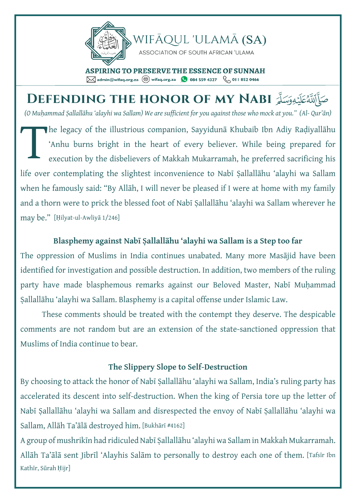

*(O Mu ḥammad Ṣallallāhu 'alayhi wa Sallam) We are sufficient for you against those who mock at you." (Al - Qur'ān)* صَلِّأَلَّلَّهُ عَلَيْهِ وَسَلَّمَ **DEFENDING THE HONOR OF MY NABI** he legacy of the illustrious companion, Sayyidunā Khubaib Ibn Adiy Raḍiyallāhu 'Anhu burns bright in the heart of every believer. While being prepared for execution by the disbelievers of Makkah Mukarramah, he preferred sacrificing his life over contemplating the slightest inconvenience to Nabī Ṣallallāhu 'alayhi wa Sallam when he famously said: "By Allāh, I will never be pleased if I were at home with my family and a thorn were to prick the blessed foot of Nabī Ṣallallāhu 'alayhi wa Sallam wherever he may be." [Ḥilyat-ul-Awliyā 1/246] T

## **Blasphemy against Nabī Ṣallallāhu 'alayhi wa Sallam is a Step too far**

The oppression of Muslims in India continues unabated. Many more Masājid have been identified for investigation and possible destruction. In addition, two members of the ruling party have made blasphemous remarks against our Beloved Master, Nabī Muhammad Ṣallallāhu 'alayhi wa Sallam. Blasphemy is a capital offense under Islamic Law.

These comments should be treated with the contempt they deserve. The despicable comments are not random but are an extension of the state-sanctioned oppression that Muslims of India continue to bear.

## **The Slippery Slope to Self-Destruction**

By choosing to attack the honor of Nabī Ṣallallāhu 'alayhi wa Sallam, India's ruling party has accelerated its descent into self-destruction. When the king of Persia tore up the letter of Nabī Ṣallallāhu 'alayhi wa Sallam and disrespected the envoy of Nabī Ṣallallāhu 'alayhi wa Sallam, Allāh Ta'ālā destroyed him. [Bukhārī #4162]

A group of mushrikīn had ridiculed Nabī Ṣallallāhu 'alayhi wa Sallam in Makkah Mukarramah. Allāh Ta'ālā sent Jibrīl 'Alayhis Salām to personally to destroy each one of them. [Tafsīr Ibn Kathīr, Sūrah Ḥijr]